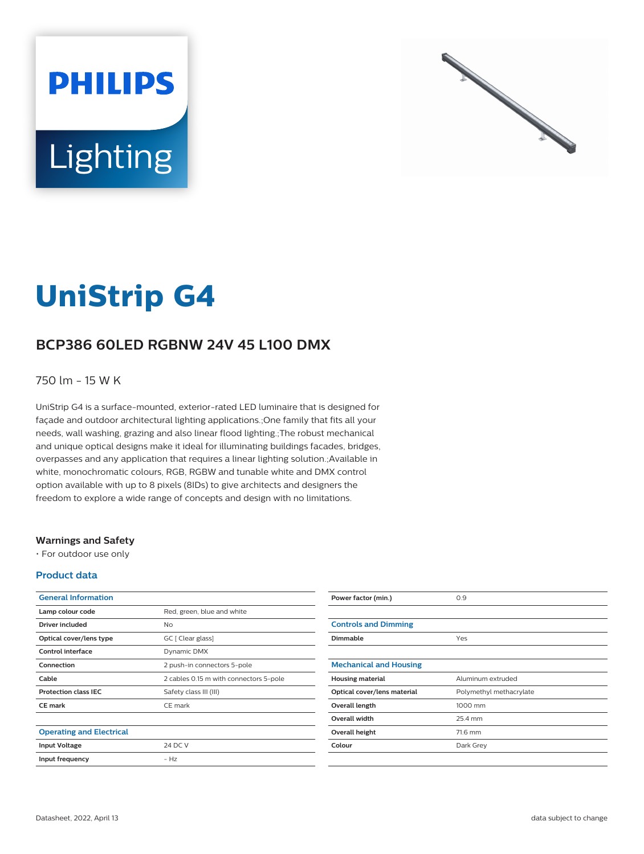



# **UniStrip G4**

# **BCP386 60LED RGBNW 24V 45 L100 DMX**

### 750 lm - 15 W K

UniStrip G4 is a surface-mounted, exterior-rated LED luminaire that is designed for façade and outdoor architectural lighting applications.;One family that fits all your needs, wall washing, grazing and also linear flood lighting.;The robust mechanical and unique optical designs make it ideal for illuminating buildings facades, bridges, overpasses and any application that requires a linear lighting solution.;Available in white, monochromatic colours, RGB, RGBW and tunable white and DMX control option available with up to 8 pixels (8IDs) to give architects and designers the freedom to explore a wide range of concepts and design with no limitations.

#### **Warnings and Safety**

• For outdoor use only

#### **Product data**

| <b>General Information</b>      |                                        |
|---------------------------------|----------------------------------------|
| Lamp colour code                | Red, green, blue and white             |
| Driver included                 | Nο                                     |
| Optical cover/lens type         | GC [ Clear glass]                      |
| Control interface               | Dynamic DMX                            |
| Connection                      | 2 push-in connectors 5-pole            |
| Cable                           | 2 cables 0.15 m with connectors 5-pole |
| <b>Protection class IEC</b>     | Safety class III (III)                 |
| <b>CE</b> mark                  | CE mark                                |
|                                 |                                        |
| <b>Operating and Electrical</b> |                                        |
| <b>Input Voltage</b>            | 24 DC V                                |
| Input frequency                 | $- H7$                                 |
|                                 |                                        |

| Power factor (min.)           | 0.9                     |
|-------------------------------|-------------------------|
|                               |                         |
| <b>Controls and Dimming</b>   |                         |
| Dimmable                      | Yes                     |
|                               |                         |
| <b>Mechanical and Housing</b> |                         |
| <b>Housing material</b>       | Aluminum extruded       |
| Optical cover/lens material   | Polymethyl methacrylate |
| Overall length                | 1000 mm                 |
| <b>Overall width</b>          | 25.4 mm                 |
| Overall height                | 71.6 mm                 |
| Colour                        | Dark Grey               |
|                               |                         |